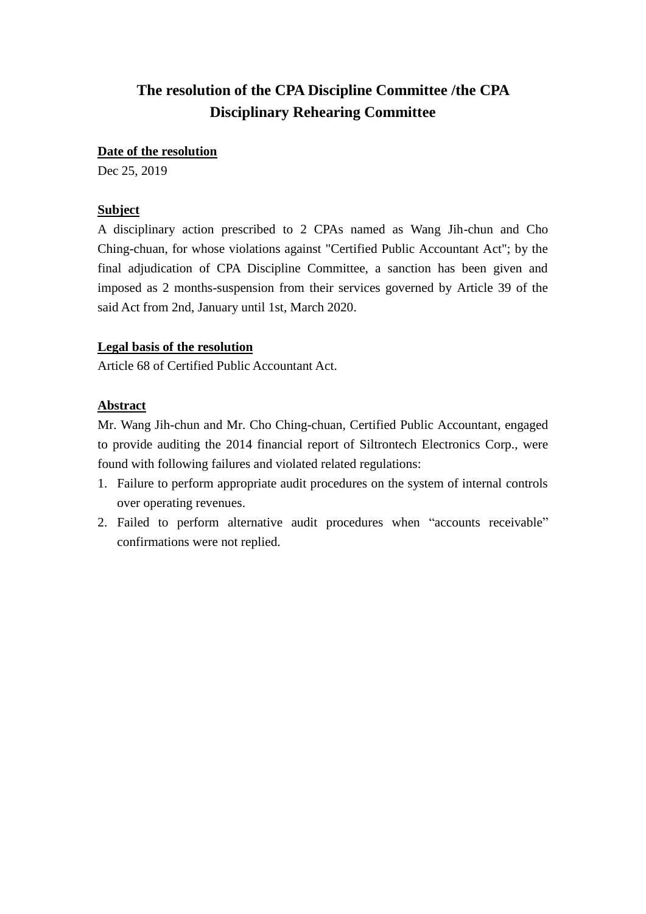#### **Date of the resolution**

Dec 25, 2019

#### **Subject**

A disciplinary action prescribed to 2 CPAs named as Wang Jih-chun and Cho Ching-chuan, for whose violations against "Certified Public Accountant Act"; by the final adjudication of CPA Discipline Committee, a sanction has been given and imposed as 2 months-suspension from their services governed by Article 39 of the said Act from 2nd, January until 1st, March 2020.

#### **Legal basis of the resolution**

Article 68 of Certified Public Accountant Act.

#### **Abstract**

Mr. Wang Jih-chun and Mr. Cho Ching-chuan, Certified Public Accountant, engaged to provide auditing the 2014 financial report of Siltrontech Electronics Corp., were found with following failures and violated related regulations:

- 1. Failure to perform appropriate audit procedures on the system of internal controls over operating revenues.
- 2. Failed to perform alternative audit procedures when "accounts receivable" confirmations were not replied.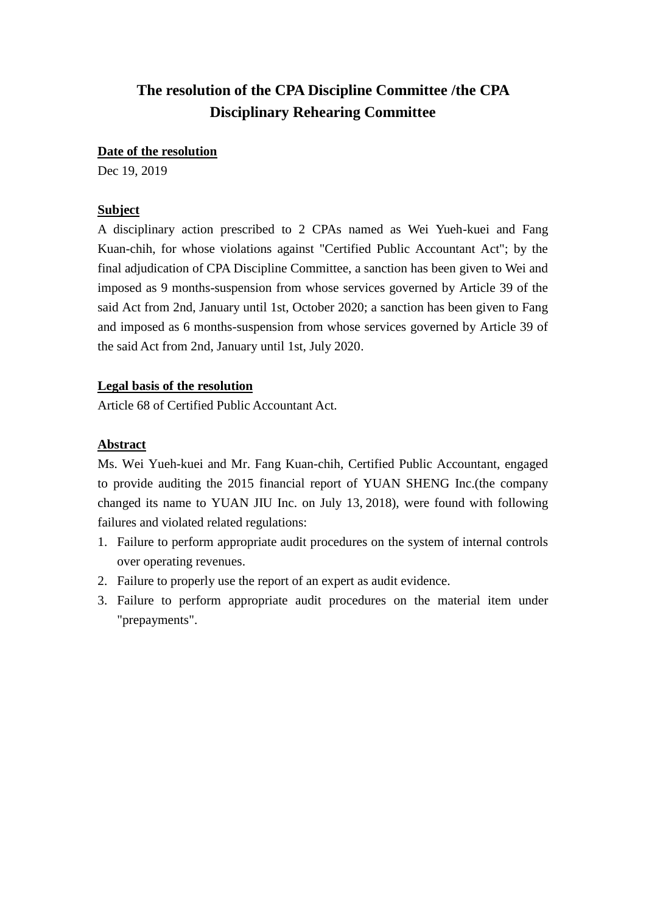#### **Date of the resolution**

Dec 19, 2019

# **Subject**

A disciplinary action prescribed to 2 CPAs named as Wei Yueh-kuei and Fang Kuan-chih, for whose violations against "Certified Public Accountant Act"; by the final adjudication of CPA Discipline Committee, a sanction has been given to Wei and imposed as 9 months-suspension from whose services governed by Article 39 of the said Act from 2nd, January until 1st, October 2020; a sanction has been given to Fang and imposed as 6 months-suspension from whose services governed by Article 39 of the said Act from 2nd, January until 1st, July 2020.

# **Legal basis of the resolution**

Article 68 of Certified Public Accountant Act.

# **Abstract**

Ms. Wei Yueh-kuei and Mr. Fang Kuan-chih, Certified Public Accountant, engaged to provide auditing the 2015 financial report of YUAN SHENG Inc.(the company changed its name to YUAN JIU Inc. on July 13, 2018), were found with following failures and violated related regulations:

- 1. Failure to perform appropriate audit procedures on the system of internal controls over operating revenues.
- 2. Failure to properly use the report of an expert as audit evidence.
- 3. Failure to perform appropriate audit procedures on the material item under "prepayments".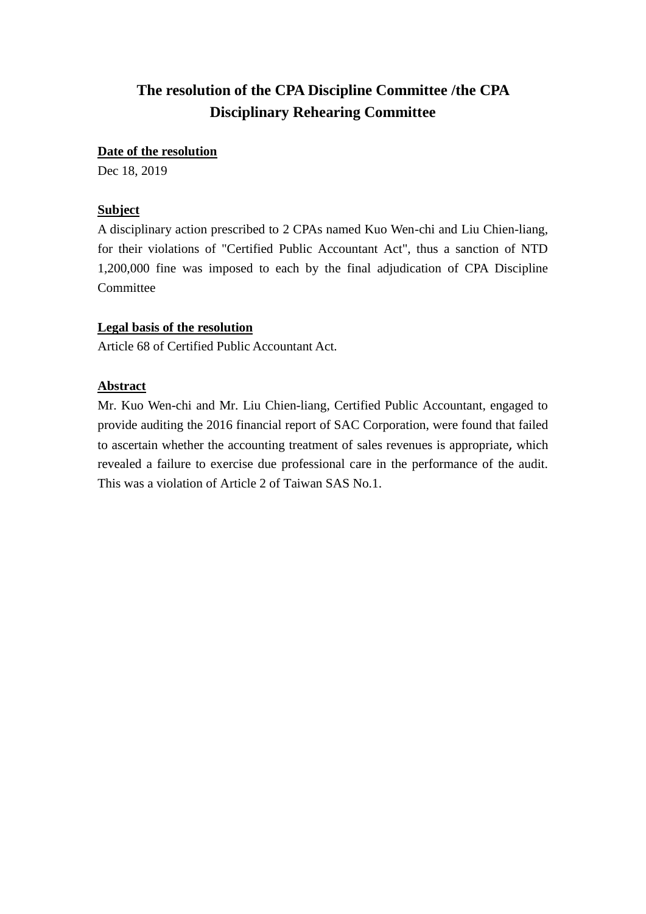#### **Date of the resolution**

Dec 18, 2019

## **Subject**

A disciplinary action prescribed to 2 CPAs named Kuo Wen-chi and Liu Chien-liang, for their violations of "Certified Public Accountant Act", thus a sanction of NTD 1,200,000 fine was imposed to each by the final adjudication of CPA Discipline Committee

## **Legal basis of the resolution**

Article 68 of Certified Public Accountant Act.

## **Abstract**

Mr. Kuo Wen-chi and Mr. Liu Chien-liang, Certified Public Accountant, engaged to provide auditing the 2016 financial report of SAC Corporation, were found that failed to ascertain whether the accounting treatment of sales revenues is appropriate, which revealed a failure to exercise due professional care in the performance of the audit. This was a violation of Article 2 of Taiwan SAS No.1.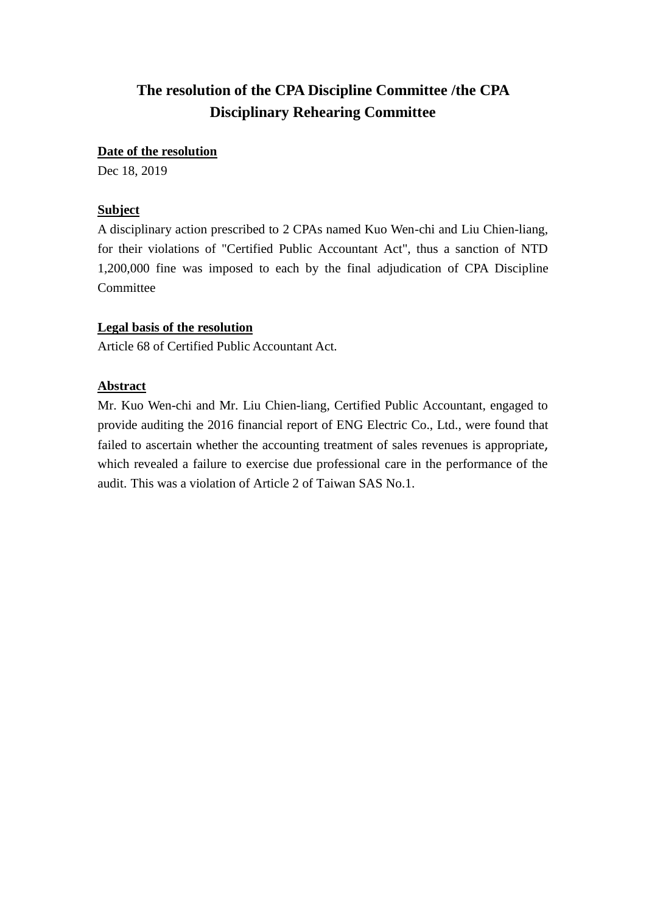#### **Date of the resolution**

Dec 18, 2019

## **Subject**

A disciplinary action prescribed to 2 CPAs named Kuo Wen-chi and Liu Chien-liang, for their violations of "Certified Public Accountant Act", thus a sanction of NTD 1,200,000 fine was imposed to each by the final adjudication of CPA Discipline Committee

## **Legal basis of the resolution**

Article 68 of Certified Public Accountant Act.

## **Abstract**

Mr. Kuo Wen-chi and Mr. Liu Chien-liang, Certified Public Accountant, engaged to provide auditing the 2016 financial report of ENG Electric Co., Ltd., were found that failed to ascertain whether the accounting treatment of sales revenues is appropriate, which revealed a failure to exercise due professional care in the performance of the audit. This was a violation of Article 2 of Taiwan SAS No.1.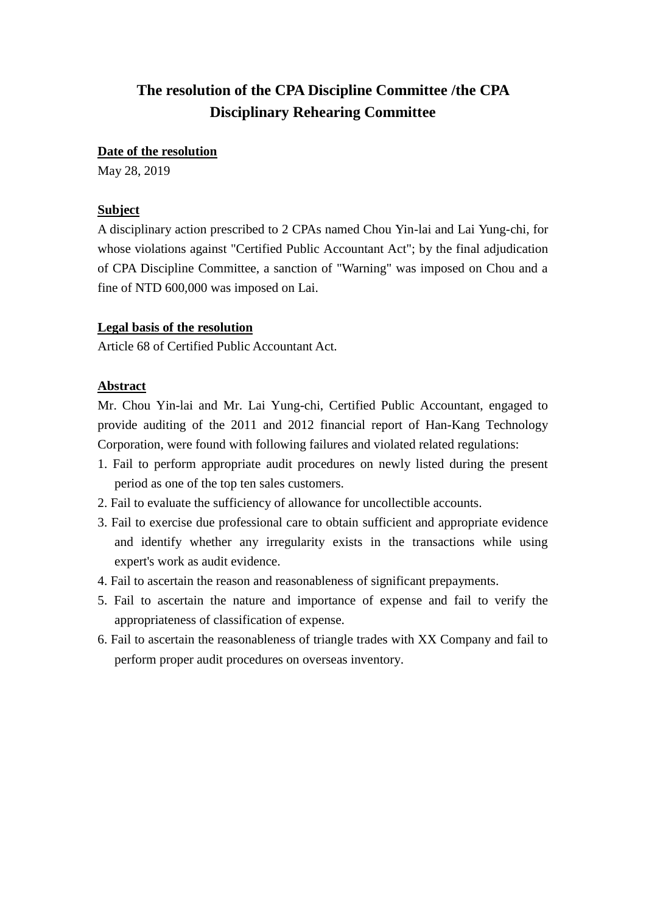#### **Date of the resolution**

May 28, 2019

#### **Subject**

A disciplinary action prescribed to 2 CPAs named Chou Yin-lai and Lai Yung-chi, for whose violations against "Certified Public Accountant Act"; by the final adjudication of CPA Discipline Committee, a sanction of "Warning" was imposed on Chou and a fine of NTD 600,000 was imposed on Lai.

#### **Legal basis of the resolution**

Article 68 of Certified Public Accountant Act.

## **Abstract**

Mr. Chou Yin-lai and Mr. Lai Yung-chi, Certified Public Accountant, engaged to provide auditing of the 2011 and 2012 financial report of Han-Kang Technology Corporation, were found with following failures and violated related regulations:

- 1. Fail to perform appropriate audit procedures on newly listed during the present period as one of the top ten sales customers.
- 2. Fail to evaluate the sufficiency of allowance for uncollectible accounts.
- 3. Fail to exercise due professional care to obtain sufficient and appropriate evidence and identify whether any irregularity exists in the transactions while using expert's work as audit evidence.
- 4. Fail to ascertain the reason and reasonableness of significant prepayments.
- 5. Fail to ascertain the nature and importance of expense and fail to verify the appropriateness of classification of expense.
- 6. Fail to ascertain the reasonableness of triangle trades with XX Company and fail to perform proper audit procedures on overseas inventory.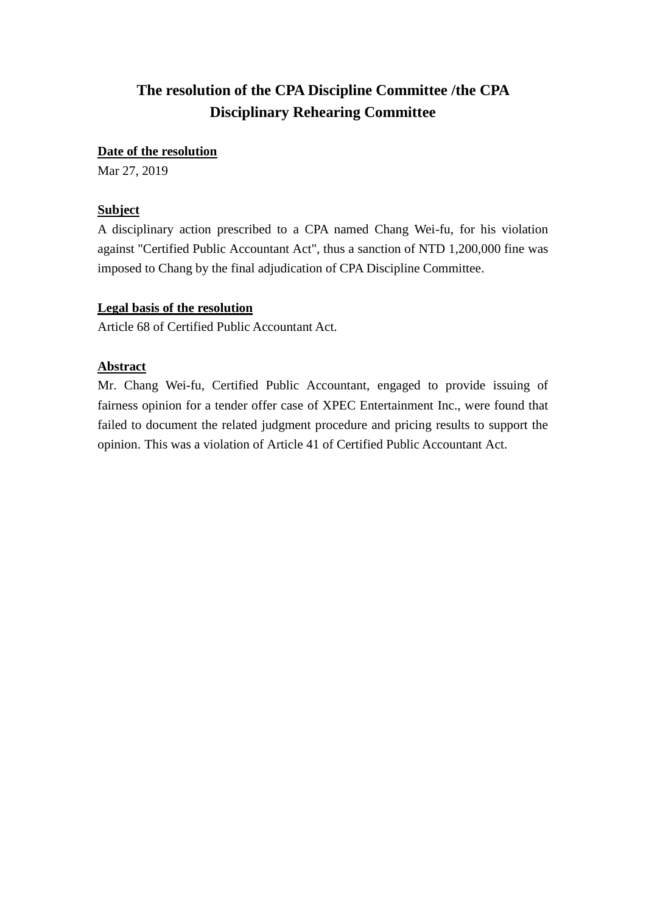#### **Date of the resolution**

Mar 27, 2019

# **Subject**

A disciplinary action prescribed to a CPA named Chang Wei-fu, for his violation against "Certified Public Accountant Act", thus a sanction of NTD 1,200,000 fine was imposed to Chang by the final adjudication of CPA Discipline Committee.

## **Legal basis of the resolution**

Article 68 of Certified Public Accountant Act.

## **Abstract**

Mr. Chang Wei-fu, Certified Public Accountant, engaged to provide issuing of fairness opinion for a tender offer case of XPEC Entertainment Inc., were found that failed to document the related judgment procedure and pricing results to support the opinion. This was a violation of Article 41 of Certified Public Accountant Act.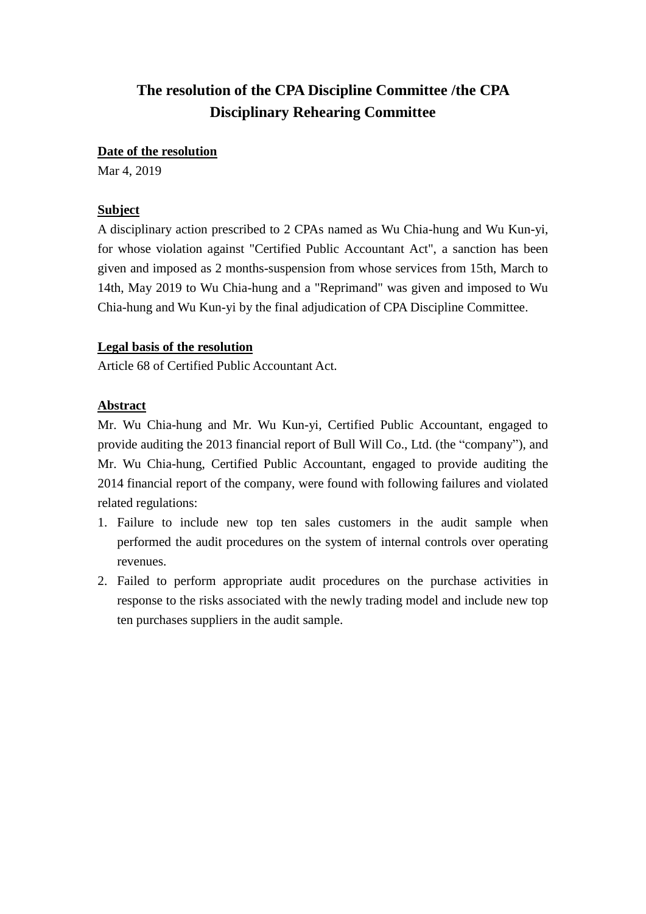#### **Date of the resolution**

Mar 4, 2019

#### **Subject**

A disciplinary action prescribed to 2 CPAs named as Wu Chia-hung and Wu Kun-yi, for whose violation against "Certified Public Accountant Act", a sanction has been given and imposed as 2 months-suspension from whose services from 15th, March to 14th, May 2019 to Wu Chia-hung and a "Reprimand" was given and imposed to Wu Chia-hung and Wu Kun-yi by the final adjudication of CPA Discipline Committee.

#### **Legal basis of the resolution**

Article 68 of Certified Public Accountant Act.

#### **Abstract**

Mr. Wu Chia-hung and Mr. Wu Kun-yi, Certified Public Accountant, engaged to provide auditing the 2013 financial report of Bull Will Co., Ltd. (the "company"), and Mr. Wu Chia-hung, Certified Public Accountant, engaged to provide auditing the 2014 financial report of the company, were found with following failures and violated related regulations:

- 1. Failure to include new top ten sales customers in the audit sample when performed the audit procedures on the system of internal controls over operating revenues.
- 2. Failed to perform appropriate audit procedures on the purchase activities in response to the risks associated with the newly trading model and include new top ten purchases suppliers in the audit sample.